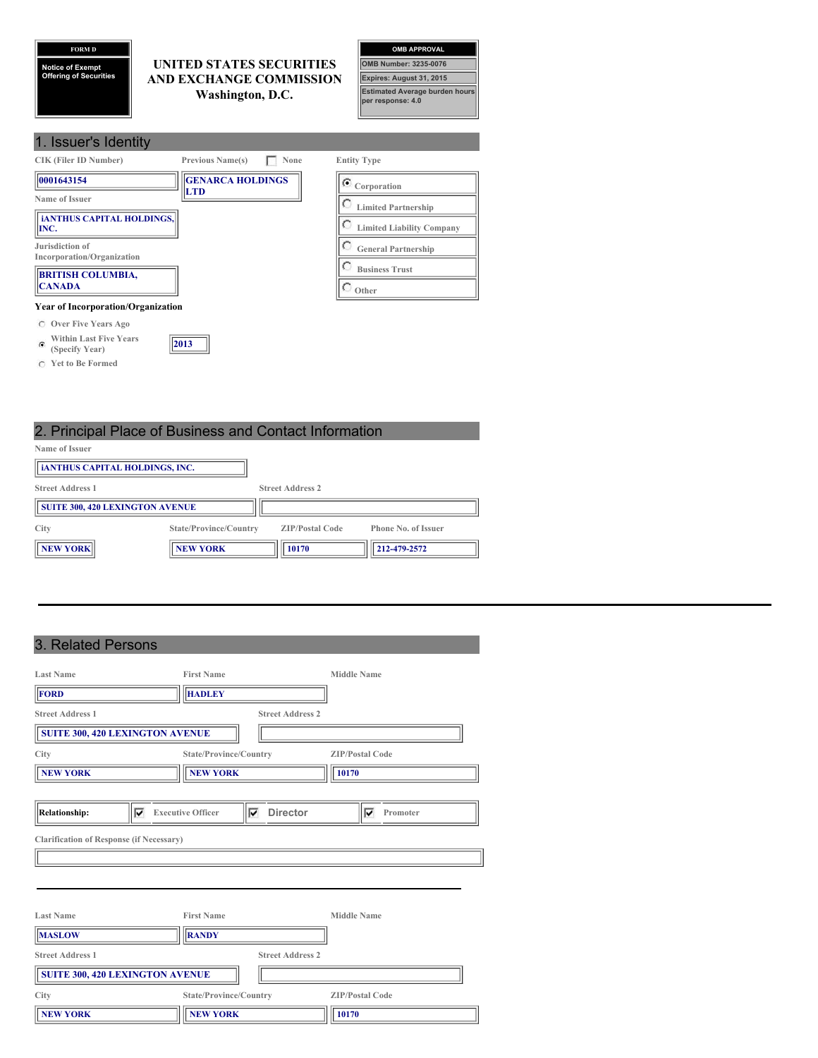## **FORM D**

**Notice of Exempt Offering of Securities**

### **UNITED STATES SECURITIES AND EXCHANGE COMMISSION Washington, D.C.**



| 1. Issuer's Identity                          |                                       |                                  |
|-----------------------------------------------|---------------------------------------|----------------------------------|
| <b>CIK (Filer ID Number)</b>                  | <b>Previous Name(s)</b><br>None       | <b>Entity Type</b>               |
| 0001643154                                    | <b>GENARCA HOLDINGS</b><br><b>LTD</b> | $\mathbb{C}$ Corporation         |
| Name of Issuer                                |                                       | <b>Limited Partnership</b>       |
| <b>iANTHUS CAPITAL HOLDINGS,</b><br>INC.      |                                       | <b>Limited Liability Company</b> |
| Jurisdiction of<br>Incorporation/Organization |                                       | <b>General Partnership</b>       |
| <b>BRITISH COLUMBIA,</b>                      |                                       | <b>Business Trust</b>            |
| <b>CANADA</b>                                 |                                       | $\bigcirc$ Other                 |
| <b>Year of Incorporation/Organization</b>     |                                       |                                  |
| Over Five Years Ago<br>C                      |                                       |                                  |

# 2. Principal Place of Business and Contact Information

**2013**

| <b>L.</b> Throipart idoo of Daoinooo and Oomaot information |                        |                         |                            |
|-------------------------------------------------------------|------------------------|-------------------------|----------------------------|
| Name of Issuer                                              |                        |                         |                            |
| <b>ianthus Capital HOLDINGS, INC.</b>                       |                        |                         |                            |
| <b>Street Address 1</b>                                     |                        | <b>Street Address 2</b> |                            |
| <b>SUITE 300, 420 LEXINGTON AVENUE</b>                      |                        |                         |                            |
| City                                                        | State/Province/Country | <b>ZIP/Postal Code</b>  | <b>Phone No. of Issuer</b> |
| <b>NEW YORK</b>                                             | <b>NEW YORK</b>        | 10170                   | 212-479-2572               |

## 3. Related Persons

**Within Last Five Years (Specify Year)**

**Yet to Be Formed**

| <b>Last Name</b>                                | <b>First Name</b>             |                         | <b>Middle Name</b>     |
|-------------------------------------------------|-------------------------------|-------------------------|------------------------|
| FORD                                            | <b>HADLEY</b>                 |                         |                        |
| <b>Street Address 1</b>                         |                               | <b>Street Address 2</b> |                        |
| <b>SUITE 300, 420 LEXINGTON AVENUE</b>          |                               |                         |                        |
| City                                            | State/Province/Country        |                         | <b>ZIP/Postal Code</b> |
| <b>NEW YORK</b>                                 | <b>NEW YORK</b>               | 10170                   |                        |
|                                                 |                               |                         |                        |
| ⊽<br><b>Relationship:</b>                       | <b>Executive Officer</b><br>⊽ | <b>Director</b>         | Promoter<br>⊽          |
| <b>Clarification of Response (if Necessary)</b> |                               |                         |                        |
|                                                 |                               |                         |                        |
|                                                 |                               |                         |                        |
|                                                 |                               |                         |                        |
| <b>Last Name</b>                                | <b>First Name</b>             |                         | <b>Middle Name</b>     |
| <b>MASLOW</b>                                   | <b>RANDY</b>                  |                         |                        |
| <b>Street Address 1</b>                         |                               | <b>Street Address 2</b> |                        |
| <b>SUITE 300, 420 LEXINGTON AVENUE</b>          |                               |                         |                        |
| City                                            | State/Province/Country        |                         | <b>ZIP/Postal Code</b> |
| <b>NEW YORK</b>                                 | <b>NEW YORK</b>               | 10170                   |                        |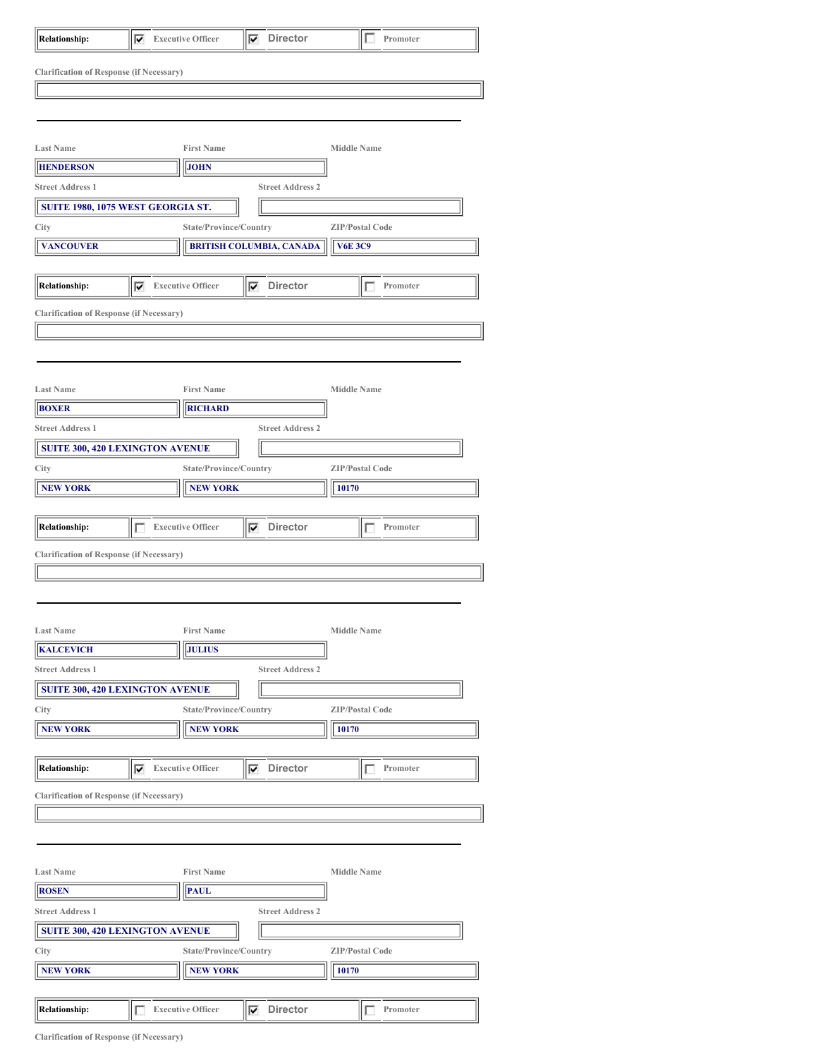|                                                 | ⊽ | <b>Executive Officer</b>                          | Director<br>⊽                   | Promoter               |  |
|-------------------------------------------------|---|---------------------------------------------------|---------------------------------|------------------------|--|
| <b>Clarification of Response (if Necessary)</b> |   |                                                   |                                 |                        |  |
|                                                 |   |                                                   |                                 |                        |  |
|                                                 |   |                                                   |                                 |                        |  |
|                                                 |   |                                                   |                                 |                        |  |
| <b>Last Name</b>                                |   | <b>First Name</b>                                 |                                 | <b>Middle Name</b>     |  |
| <b>HENDERSON</b>                                |   | <b>JOHN</b>                                       |                                 |                        |  |
| <b>Street Address 1</b>                         |   |                                                   | <b>Street Address 2</b>         |                        |  |
| SUITE 1980, 1075 WEST GEORGIA ST.               |   |                                                   |                                 |                        |  |
| City                                            |   | State/Province/Country                            |                                 | <b>ZIP/Postal Code</b> |  |
| <b>VANCOUVER</b>                                |   |                                                   | <b>BRITISH COLUMBIA, CANADA</b> | <b>V6E 3C9</b>         |  |
| <b>Relationship:</b>                            | ⊽ | <b>Executive Officer</b>                          | $\nabla$ Director               | Promoter               |  |
| <b>Clarification of Response (if Necessary)</b> |   |                                                   |                                 |                        |  |
|                                                 |   |                                                   |                                 |                        |  |
|                                                 |   |                                                   |                                 |                        |  |
|                                                 |   |                                                   |                                 |                        |  |
| <b>Last Name</b>                                |   | <b>First Name</b>                                 |                                 | <b>Middle Name</b>     |  |
| <b>BOXER</b>                                    |   | <b>RICHARD</b>                                    |                                 |                        |  |
| <b>Street Address 1</b>                         |   |                                                   | <b>Street Address 2</b>         |                        |  |
| <b>SUITE 300, 420 LEXINGTON AVENUE</b>          |   |                                                   |                                 |                        |  |
| City                                            |   | State/Province/Country                            |                                 | <b>ZIP/Postal Code</b> |  |
| <b>NEW YORK</b>                                 |   | <b>NEW YORK</b>                                   |                                 | 10170                  |  |
|                                                 |   |                                                   |                                 |                        |  |
| <b>Relationship:</b>                            | г | <b>Executive Officer</b>                          | $\nabla$ Director               | Promoter               |  |
| <b>Clarification of Response (if Necessary)</b> |   |                                                   |                                 |                        |  |
|                                                 |   |                                                   |                                 |                        |  |
|                                                 |   |                                                   |                                 |                        |  |
|                                                 |   |                                                   |                                 |                        |  |
|                                                 |   |                                                   |                                 |                        |  |
| <b>Last Name</b>                                |   | <b>First Name</b>                                 |                                 | <b>Middle Name</b>     |  |
| <b>KALCEVICH</b>                                |   | <b>JULIUS</b>                                     |                                 |                        |  |
| <b>Street Address 1</b>                         |   |                                                   | <b>Street Address 2</b>         |                        |  |
| <b>SUITE 300, 420 LEXINGTON AVENUE</b>          |   |                                                   |                                 |                        |  |
| City                                            |   | State/Province/Country                            |                                 | <b>ZIP/Postal Code</b> |  |
| <b>NEW YORK</b>                                 |   | <b>NEW YORK</b>                                   |                                 | 10170                  |  |
| <b>Relationship:</b>                            |   | $\overline{\blacktriangledown}$ Executive Officer | $\nabla$ Director               | Promoter               |  |
| <b>Clarification of Response (if Necessary)</b> |   |                                                   |                                 |                        |  |
|                                                 |   |                                                   |                                 |                        |  |
|                                                 |   |                                                   |                                 |                        |  |
|                                                 |   |                                                   |                                 |                        |  |
| <b>Last Name</b>                                |   | <b>First Name</b>                                 |                                 | <b>Middle Name</b>     |  |
| <b>ROSEN</b>                                    |   | <b>PAUL</b>                                       |                                 |                        |  |
| <b>Street Address 1</b>                         |   |                                                   | <b>Street Address 2</b>         |                        |  |
| <b>SUITE 300, 420 LEXINGTON AVENUE</b>          |   |                                                   |                                 |                        |  |
| City                                            |   | State/Province/Country                            |                                 | <b>ZIP/Postal Code</b> |  |
| <b>NEW YORK</b>                                 |   | <b>NEW YORK</b>                                   |                                 | 10170                  |  |
|                                                 |   |                                                   | <b>Director</b>                 |                        |  |

**Clarification of Response (if Necessary)**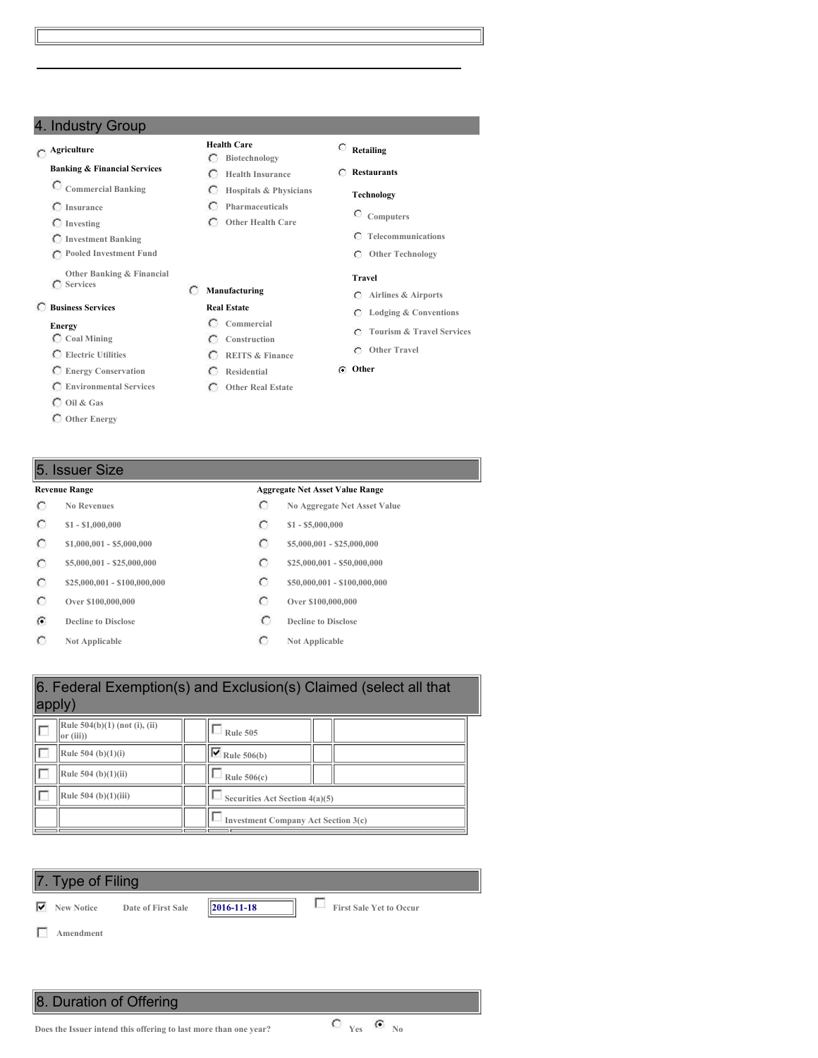## 4. Industry Group

## **Agriculture**

#### **Banking & Financial Services**

- **Commercial Banking**
- **Insurance**
- **Investing**
- **Investment Banking**
- **Pooled Investment Fund**
- **Other Banking & Financial Services**

#### **Business Services**

#### **Energy**

- **Coal Mining**
- **Electric Utilities**
- **Energy Conservation**
- **Environmental Services**
- **Oil & Gas**
- **Other Energy**

- $\circ$
- $\circ$
- $\circ$
- $\circ$
- $\circ$
- $\circ$
- $\mathcal{C}$
- $\circ$

#### **Health Care Biotechnology**

- **Health Insurance**
- $\circ$ **Hospitals & Physicians**
- $\circ$ **Pharmaceuticals**
- **Other Health Care**

**Manufacturing Real Estate Commercial Construction REITS & Finance Residential Other Real Estate**

 $\circ$ 

**Computers Telecommunications**

**Retailing Restaurants Technology**

**Other Technology**

#### **Travel**

- **Airlines & Airports**
- **Lodging & Conventions**
- **Tourism & Travel Services**
- **Other Travel**
- **Other**

### 5. Issuer Size

#### **Revenue Range Aggregate Net Asset Value Range**

- **No Revenues No Aggregate Net Asset Value**
- **\$1 - \$1,000,000 \$1 - \$5,000,000**
- **\$1,000,001 - \$5,000,000 \$5,000,000 \$5,000,001 \$25,000,000**
- **\$5,000,001 - \$25,000,000 \$25,000,001 \$25,000,000 \$25,000,000**
- **\$25,000,001 - \$100,000,000 \$50,000,001 - \$100,000,000**
- **Over \$100,000,000 Over \$100,000,000**
- **Decline** to Disclose **Decline Decline Decline Decline Decline Decline Decline Decline Decline Decline Decline Decline Decline Decline Decline Decline Decline Decline Decline Decline**
- **Not Applicable C Not Applicable**

| apply) |                                           | 6. Federal Exemption(s) and Exclusion(s) Claimed (select all that |
|--------|-------------------------------------------|-------------------------------------------------------------------|
|        | Rule 504(b)(1) (not (i), (ii)<br>or (iii) | <b>Rule 505</b>                                                   |
|        | Rule 504 (b) $(1)(i)$                     | $\overline{\triangledown}$ Rule 506(b)                            |
|        | Rule $504$ (b)(1)(ii)                     | Rule $506(c)$                                                     |
|        | Rule 504 (b)(1)(iii)                      | Securities Act Section 4(a)(5)                                    |
|        |                                           | <b>Investment Company Act Section 3(c)</b>                        |

|   | 7. Type of Filing |                    |                      |                                |
|---|-------------------|--------------------|----------------------|--------------------------------|
| ▽ | <b>New Notice</b> | Date of First Sale | $\ 2016 - 11 - 18\ $ | <b>First Sale Yet to Occur</b> |

**Amendment**

8. Duration of Offering

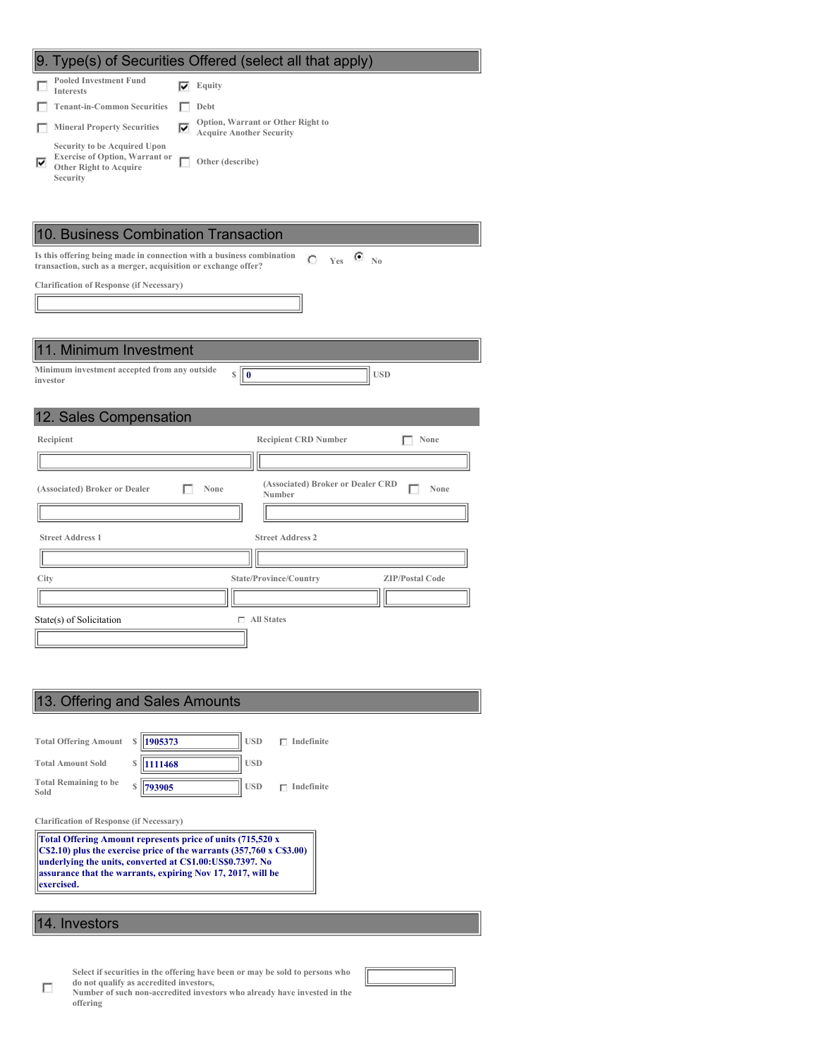| 9. Type(s) of Securities Offered (select all that apply)                                                                                                 |
|----------------------------------------------------------------------------------------------------------------------------------------------------------|
| <b>Pooled Investment Fund</b><br>⊽<br>Equity<br><b>Interests</b>                                                                                         |
| <b>Tenant-in-Common Securities</b><br>Debt<br>п                                                                                                          |
| Option, Warrant or Other Right to<br><b>Mineral Property Securities</b><br>⊽<br>г<br><b>Acquire Another Security</b>                                     |
| Security to be Acquired Upon<br><b>Exercise of Option, Warrant or</b><br>г<br>Other (describe)<br>⊽<br><b>Other Right to Acquire</b><br>Security         |
|                                                                                                                                                          |
| 10. Business Combination Transaction                                                                                                                     |
| Is this offering being made in connection with a business combination<br>$C$ Yes $C$ No<br>transaction, such as a merger, acquisition or exchange offer? |
| <b>Clarification of Response (if Necessary)</b>                                                                                                          |
|                                                                                                                                                          |
|                                                                                                                                                          |
| 11. Minimum Investment                                                                                                                                   |
| Minimum investment accepted from any outside<br>S<br><b>USD</b><br>$\bf{0}$                                                                              |
| investor                                                                                                                                                 |
| 12. Sales Compensation                                                                                                                                   |
|                                                                                                                                                          |
| Recipient<br><b>Recipient CRD Number</b><br>None                                                                                                         |
|                                                                                                                                                          |
| (Associated) Broker or Dealer CRD<br>(Associated) Broker or Dealer<br>None<br>None<br>I<br>н<br>Number                                                   |
|                                                                                                                                                          |
| <b>Street Address 1</b><br><b>Street Address 2</b>                                                                                                       |
|                                                                                                                                                          |
| City<br>State/Province/Country<br><b>ZIP/Postal Code</b>                                                                                                 |
|                                                                                                                                                          |
| $\Box$ All States<br>State(s) of Solicitation                                                                                                            |
|                                                                                                                                                          |
|                                                                                                                                                          |

## 13. Offering and Sales Amounts **Total Offering Amount \$ 1905373 USD Indefinite Total Amount Sold \$ 1111468 USD Total Remaining to be Sold \$ 793905 USD Indefinite Clarification of Response (if Necessary) Total Offering Amount represents price of units (715,520 x C\$2.10) plus the exercise price of the warrants (357,760 x C\$3.00) underlying the units, converted at C\$1.00:US\$0.7397. No assurance that the warrants, expiring Nov 17, 2017, will be exercised.** 14. Investors

**Select if securities in the offering have been or may be sold to persons who do not qualify as accredited investors,**

П **Number of such non-accredited investors who already have invested in the offering**